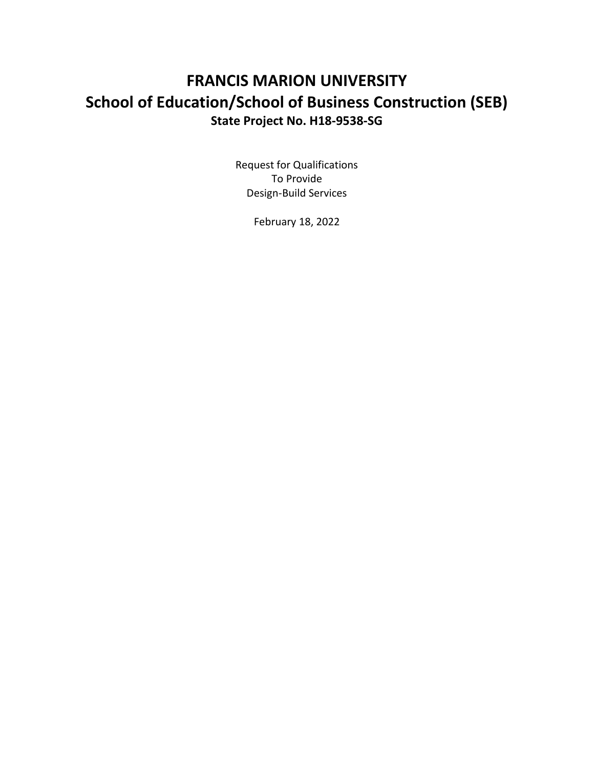# **FRANCIS MARION UNIVERSITY School of Education/School of Business Construction (SEB) State Project No. H18-9538-SG**

Request for Qualifications To Provide Design-Build Services

February 18, 2022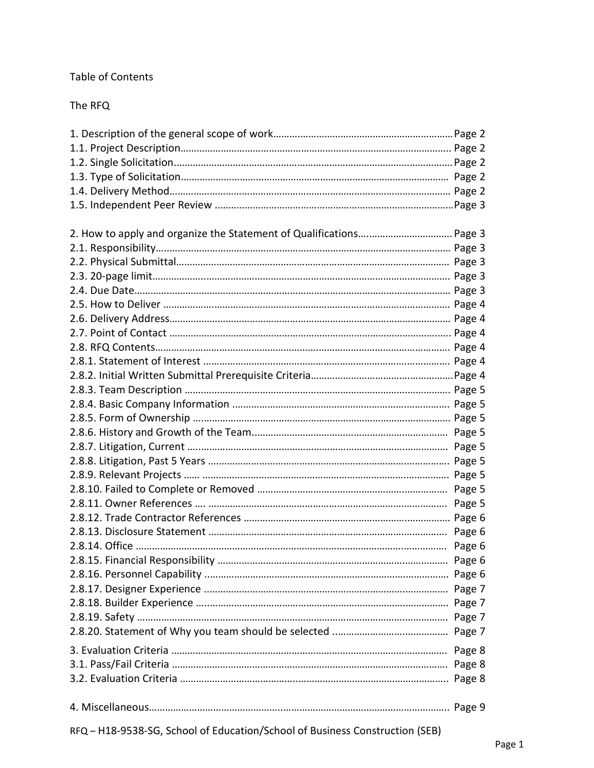# Table of Contents

The RFQ

RFQ – H18-9538-SG, School of Education/School of Business Construction (SEB)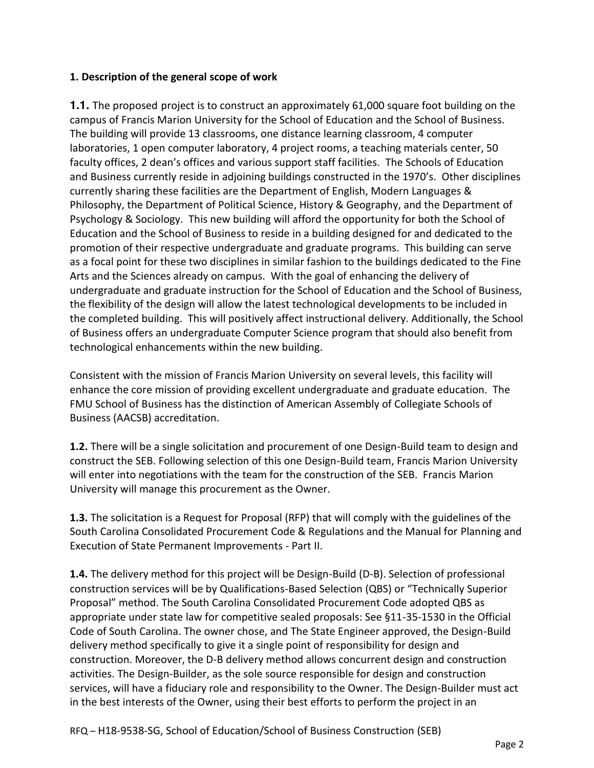# **1. Description of the general scope of work**

**1.1.** The proposed project is to construct an approximately 61,000 square foot building on the campus of Francis Marion University for the School of Education and the School of Business. The building will provide 13 classrooms, one distance learning classroom, 4 computer laboratories, 1 open computer laboratory, 4 project rooms, a teaching materials center, 50 faculty offices, 2 dean's offices and various support staff facilities. The Schools of Education and Business currently reside in adjoining buildings constructed in the 1970's. Other disciplines currently sharing these facilities are the Department of English, Modern Languages & Philosophy, the Department of Political Science, History & Geography, and the Department of Psychology & Sociology. This new building will afford the opportunity for both the School of Education and the School of Business to reside in a building designed for and dedicated to the promotion of their respective undergraduate and graduate programs. This building can serve as a focal point for these two disciplines in similar fashion to the buildings dedicated to the Fine Arts and the Sciences already on campus. With the goal of enhancing the delivery of undergraduate and graduate instruction for the School of Education and the School of Business, the flexibility of the design will allow the latest technological developments to be included in the completed building. This will positively affect instructional delivery. Additionally, the School of Business offers an undergraduate Computer Science program that should also benefit from technological enhancements within the new building.

Consistent with the mission of Francis Marion University on several levels, this facility will enhance the core mission of providing excellent undergraduate and graduate education. The FMU School of Business has the distinction of American Assembly of Collegiate Schools of Business (AACSB) accreditation.

**1.2.** There will be a single solicitation and procurement of one Design-Build team to design and construct the SEB. Following selection of this one Design-Build team, Francis Marion University will enter into negotiations with the team for the construction of the SEB. Francis Marion University will manage this procurement as the Owner.

**1.3.** The solicitation is a Request for Proposal (RFP) that will comply with the guidelines of the South Carolina Consolidated Procurement Code & Regulations and the Manual for Planning and Execution of State Permanent Improvements - Part II.

**1.4.** The delivery method for this project will be Design-Build (D-B). Selection of professional construction services will be by Qualifications-Based Selection (QBS) or "Technically Superior Proposal" method. The South Carolina Consolidated Procurement Code adopted QBS as appropriate under state law for competitive sealed proposals: See §11-35-1530 in the Official Code of South Carolina. The owner chose, and The State Engineer approved, the Design-Build delivery method specifically to give it a single point of responsibility for design and construction. Moreover, the D-B delivery method allows concurrent design and construction activities. The Design-Builder, as the sole source responsible for design and construction services, will have a fiduciary role and responsibility to the Owner. The Design-Builder must act in the best interests of the Owner, using their best efforts to perform the project in an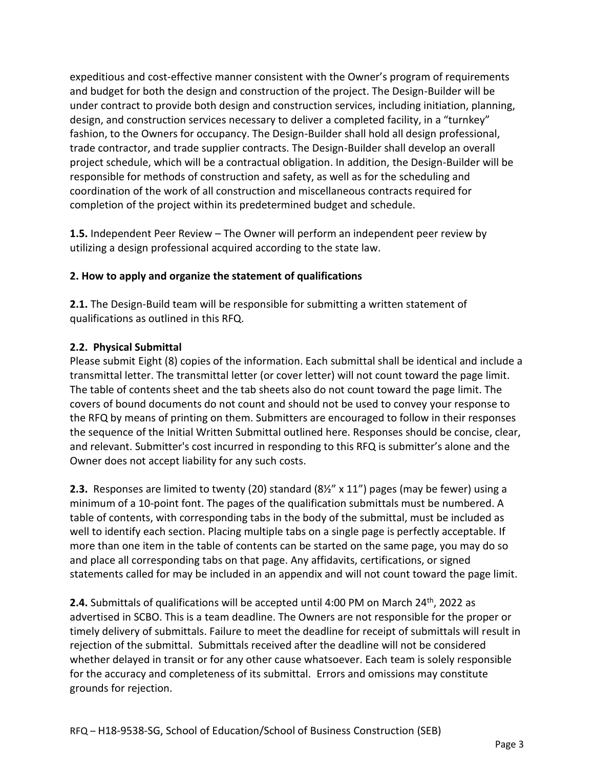expeditious and cost-effective manner consistent with the Owner's program of requirements and budget for both the design and construction of the project. The Design-Builder will be under contract to provide both design and construction services, including initiation, planning, design, and construction services necessary to deliver a completed facility, in a "turnkey" fashion, to the Owners for occupancy. The Design-Builder shall hold all design professional, trade contractor, and trade supplier contracts. The Design-Builder shall develop an overall project schedule, which will be a contractual obligation. In addition, the Design-Builder will be responsible for methods of construction and safety, as well as for the scheduling and coordination of the work of all construction and miscellaneous contracts required for completion of the project within its predetermined budget and schedule.

**1.5.** Independent Peer Review – The Owner will perform an independent peer review by utilizing a design professional acquired according to the state law.

# **2. How to apply and organize the statement of qualifications**

**2.1.** The Design-Build team will be responsible for submitting a written statement of qualifications as outlined in this RFQ.

# **2.2. Physical Submittal**

Please submit Eight (8) copies of the information. Each submittal shall be identical and include a transmittal letter. The transmittal letter (or cover letter) will not count toward the page limit. The table of contents sheet and the tab sheets also do not count toward the page limit. The covers of bound documents do not count and should not be used to convey your response to the RFQ by means of printing on them. Submitters are encouraged to follow in their responses the sequence of the Initial Written Submittal outlined here. Responses should be concise, clear, and relevant. Submitter's cost incurred in responding to this RFQ is submitter's alone and the Owner does not accept liability for any such costs.

**2.3.** Responses are limited to twenty (20) standard (8½" x 11") pages (may be fewer) using a minimum of a 10-point font. The pages of the qualification submittals must be numbered. A table of contents, with corresponding tabs in the body of the submittal, must be included as well to identify each section. Placing multiple tabs on a single page is perfectly acceptable. If more than one item in the table of contents can be started on the same page, you may do so and place all corresponding tabs on that page. Any affidavits, certifications, or signed statements called for may be included in an appendix and will not count toward the page limit.

**2.4.** Submittals of qualifications will be accepted until 4:00 PM on March 24<sup>th</sup>, 2022 as advertised in SCBO. This is a team deadline. The Owners are not responsible for the proper or timely delivery of submittals. Failure to meet the deadline for receipt of submittals will result in rejection of the submittal. Submittals received after the deadline will not be considered whether delayed in transit or for any other cause whatsoever. Each team is solely responsible for the accuracy and completeness of its submittal. Errors and omissions may constitute grounds for rejection.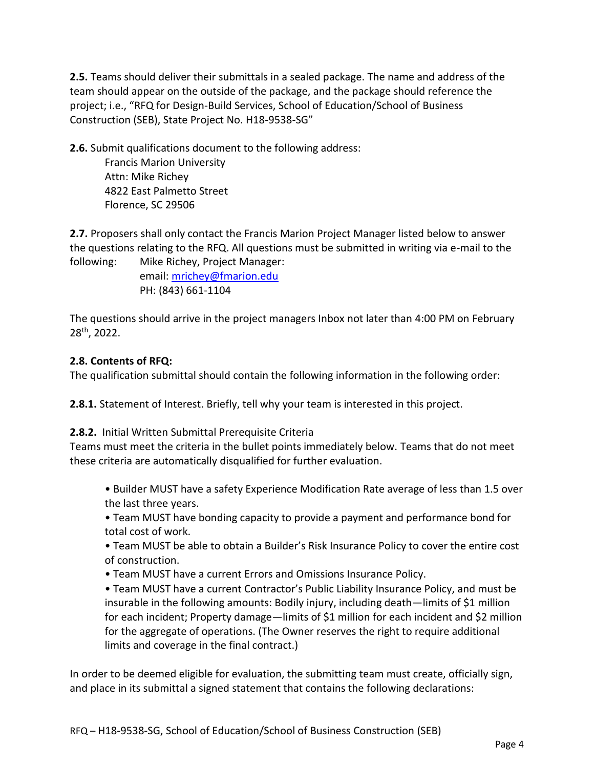**2.5.** Teams should deliver their submittals in a sealed package. The name and address of the team should appear on the outside of the package, and the package should reference the project; i.e., "RFQ for Design-Build Services, School of Education/School of Business Construction (SEB), State Project No. H18-9538-SG"

**2.6.** Submit qualifications document to the following address:

 Francis Marion University Attn: Mike Richey 4822 East Palmetto Street Florence, SC 29506

**2.7.** Proposers shall only contact the Francis Marion Project Manager listed below to answer the questions relating to the RFQ. All questions must be submitted in writing via e-mail to the following: Mike Richey, Project Manager:

> email[: mrichey@fmarion.edu](mailto:mrichey@fmarion.edu) PH: (843) 661-1104

The questions should arrive in the project managers Inbox not later than 4:00 PM on February 28th, 2022.

#### **2.8. Contents of RFQ:**

The qualification submittal should contain the following information in the following order:

**2.8.1.** Statement of Interest. Briefly, tell why your team is interested in this project.

**2.8.2.** Initial Written Submittal Prerequisite Criteria

Teams must meet the criteria in the bullet points immediately below. Teams that do not meet these criteria are automatically disqualified for further evaluation.

• Builder MUST have a safety Experience Modification Rate average of less than 1.5 over the last three years.

• Team MUST have bonding capacity to provide a payment and performance bond for total cost of work.

• Team MUST be able to obtain a Builder's Risk Insurance Policy to cover the entire cost of construction.

• Team MUST have a current Errors and Omissions Insurance Policy.

• Team MUST have a current Contractor's Public Liability Insurance Policy, and must be insurable in the following amounts: Bodily injury, including death—limits of \$1 million for each incident; Property damage—limits of \$1 million for each incident and \$2 million for the aggregate of operations. (The Owner reserves the right to require additional limits and coverage in the final contract.)

In order to be deemed eligible for evaluation, the submitting team must create, officially sign, and place in its submittal a signed statement that contains the following declarations: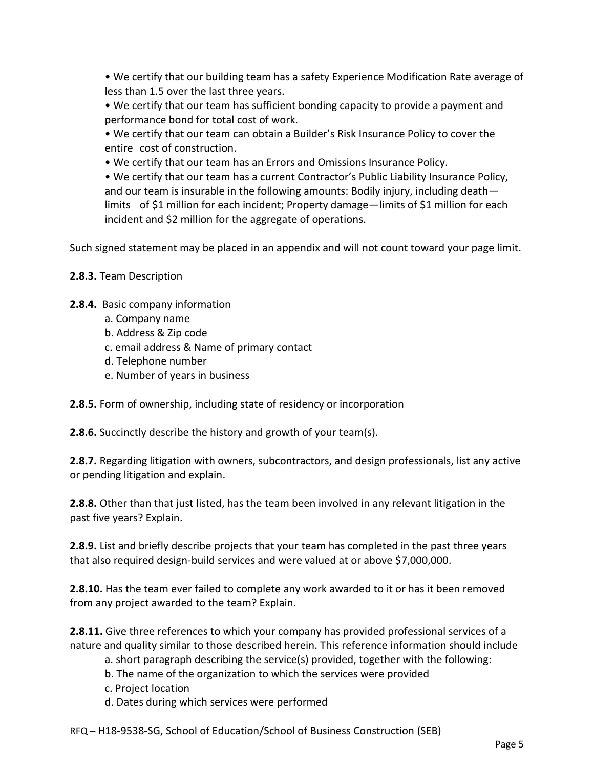• We certify that our building team has a safety Experience Modification Rate average of less than 1.5 over the last three years.

• We certify that our team has sufficient bonding capacity to provide a payment and performance bond for total cost of work.

• We certify that our team can obtain a Builder's Risk Insurance Policy to cover the entire cost of construction.

• We certify that our team has an Errors and Omissions Insurance Policy.

• We certify that our team has a current Contractor's Public Liability Insurance Policy, and our team is insurable in the following amounts: Bodily injury, including death limits of \$1 million for each incident; Property damage—limits of \$1 million for each incident and \$2 million for the aggregate of operations.

Such signed statement may be placed in an appendix and will not count toward your page limit.

# **2.8.3.** Team Description

- **2.8.4.** Basic company information
	- a. Company name
	- b. Address & Zip code
	- c. email address & Name of primary contact
	- d. Telephone number
	- e. Number of years in business

**2.8.5.** Form of ownership, including state of residency or incorporation

**2.8.6.** Succinctly describe the history and growth of your team(s).

**2.8.7.** Regarding litigation with owners, subcontractors, and design professionals, list any active or pending litigation and explain.

**2.8.8.** Other than that just listed, has the team been involved in any relevant litigation in the past five years? Explain.

**2.8.9.** List and briefly describe projects that your team has completed in the past three years that also required design-build services and were valued at or above \$7,000,000.

**2.8.10.** Has the team ever failed to complete any work awarded to it or has it been removed from any project awarded to the team? Explain.

**2.8.11.** Give three references to which your company has provided professional services of a nature and quality similar to those described herein. This reference information should include

- a. short paragraph describing the service(s) provided, together with the following:
- b. The name of the organization to which the services were provided
- c. Project location
- d. Dates during which services were performed

RFQ – H18-9538-SG, School of Education/School of Business Construction (SEB)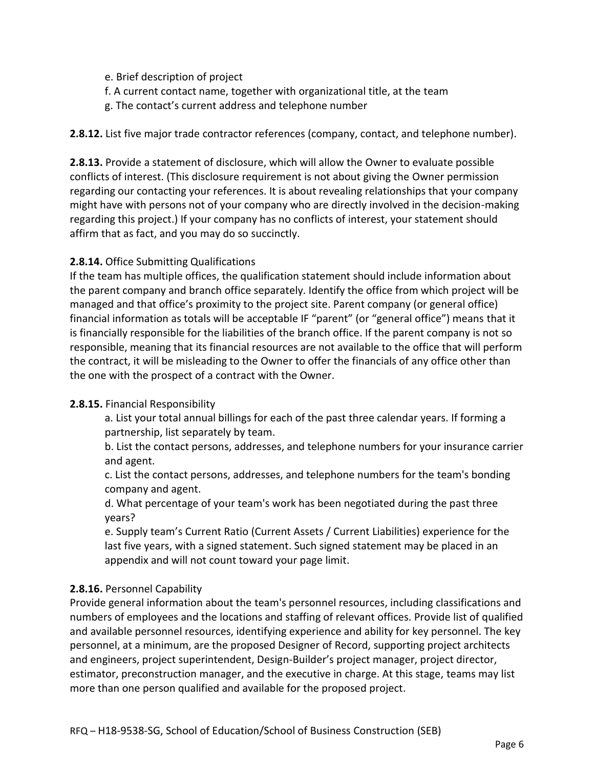- e. Brief description of project
- f. A current contact name, together with organizational title, at the team
- g. The contact's current address and telephone number

## **2.8.12.** List five major trade contractor references (company, contact, and telephone number).

**2.8.13.** Provide a statement of disclosure, which will allow the Owner to evaluate possible conflicts of interest. (This disclosure requirement is not about giving the Owner permission regarding our contacting your references. It is about revealing relationships that your company might have with persons not of your company who are directly involved in the decision-making regarding this project.) If your company has no conflicts of interest, your statement should affirm that as fact, and you may do so succinctly.

# **2.8.14.** Office Submitting Qualifications

If the team has multiple offices, the qualification statement should include information about the parent company and branch office separately. Identify the office from which project will be managed and that office's proximity to the project site. Parent company (or general office) financial information as totals will be acceptable IF "parent" (or "general office") means that it is financially responsible for the liabilities of the branch office. If the parent company is not so responsible, meaning that its financial resources are not available to the office that will perform the contract, it will be misleading to the Owner to offer the financials of any office other than the one with the prospect of a contract with the Owner.

#### **2.8.15.** Financial Responsibility

 a. List your total annual billings for each of the past three calendar years. If forming a partnership, list separately by team.

 b. List the contact persons, addresses, and telephone numbers for your insurance carrier and agent.

 c. List the contact persons, addresses, and telephone numbers for the team's bonding company and agent.

 d. What percentage of your team's work has been negotiated during the past three years?

 e. Supply team's Current Ratio (Current Assets / Current Liabilities) experience for the last five years, with a signed statement. Such signed statement may be placed in an appendix and will not count toward your page limit.

# **2.8.16.** Personnel Capability

Provide general information about the team's personnel resources, including classifications and numbers of employees and the locations and staffing of relevant offices. Provide list of qualified and available personnel resources, identifying experience and ability for key personnel. The key personnel, at a minimum, are the proposed Designer of Record, supporting project architects and engineers, project superintendent, Design-Builder's project manager, project director, estimator, preconstruction manager, and the executive in charge. At this stage, teams may list more than one person qualified and available for the proposed project.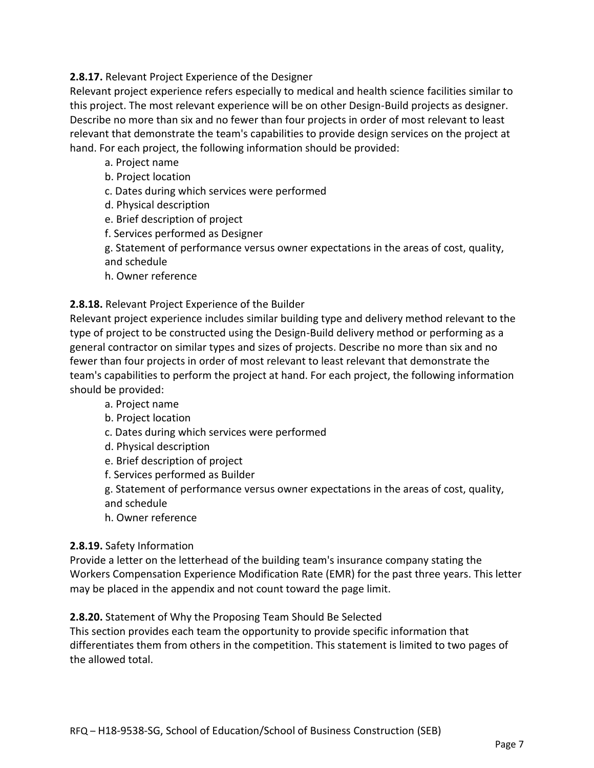# **2.8.17.** Relevant Project Experience of the Designer

Relevant project experience refers especially to medical and health science facilities similar to this project. The most relevant experience will be on other Design-Build projects as designer. Describe no more than six and no fewer than four projects in order of most relevant to least relevant that demonstrate the team's capabilities to provide design services on the project at hand. For each project, the following information should be provided:

- a. Project name
- b. Project location
- c. Dates during which services were performed
- d. Physical description
- e. Brief description of project
- f. Services performed as Designer
- g. Statement of performance versus owner expectations in the areas of cost, quality, and schedule
- h. Owner reference

#### **2.8.18.** Relevant Project Experience of the Builder

Relevant project experience includes similar building type and delivery method relevant to the type of project to be constructed using the Design-Build delivery method or performing as a general contractor on similar types and sizes of projects. Describe no more than six and no fewer than four projects in order of most relevant to least relevant that demonstrate the team's capabilities to perform the project at hand. For each project, the following information should be provided:

- a. Project name
- b. Project location
- c. Dates during which services were performed
- d. Physical description
- e. Brief description of project
- f. Services performed as Builder

 g. Statement of performance versus owner expectations in the areas of cost, quality, and schedule

h. Owner reference

#### **2.8.19.** Safety Information

Provide a letter on the letterhead of the building team's insurance company stating the Workers Compensation Experience Modification Rate (EMR) for the past three years. This letter may be placed in the appendix and not count toward the page limit.

#### **2.8.20.** Statement of Why the Proposing Team Should Be Selected

This section provides each team the opportunity to provide specific information that differentiates them from others in the competition. This statement is limited to two pages of the allowed total.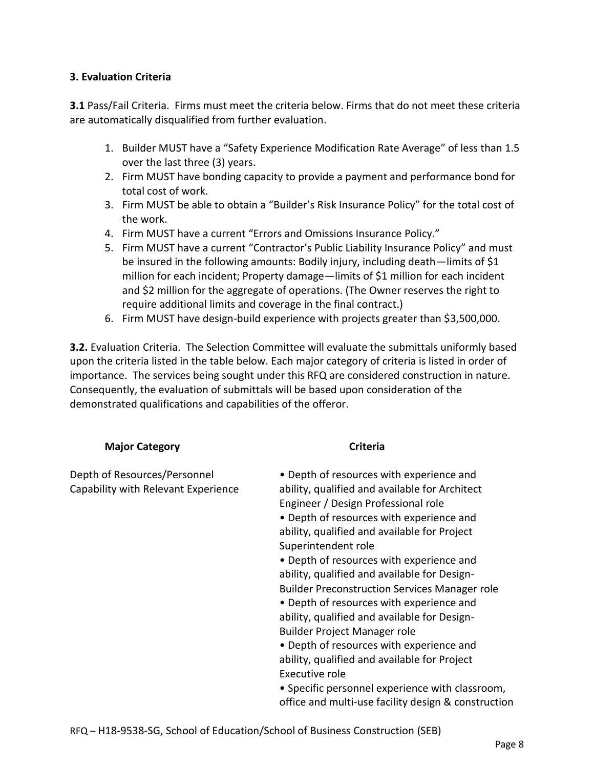#### **3. Evaluation Criteria**

**3.1** Pass/Fail Criteria. Firms must meet the criteria below. Firms that do not meet these criteria are automatically disqualified from further evaluation.

- 1. Builder MUST have a "Safety Experience Modification Rate Average" of less than 1.5 over the last three (3) years.
- 2. Firm MUST have bonding capacity to provide a payment and performance bond for total cost of work.
- 3. Firm MUST be able to obtain a "Builder's Risk Insurance Policy" for the total cost of the work.
- 4. Firm MUST have a current "Errors and Omissions Insurance Policy."
- 5. Firm MUST have a current "Contractor's Public Liability Insurance Policy" and must be insured in the following amounts: Bodily injury, including death—limits of \$1 million for each incident; Property damage—limits of \$1 million for each incident and \$2 million for the aggregate of operations. (The Owner reserves the right to require additional limits and coverage in the final contract.)
- 6. Firm MUST have design-build experience with projects greater than \$3,500,000.

**3.2.** Evaluation Criteria. The Selection Committee will evaluate the submittals uniformly based upon the criteria listed in the table below. Each major category of criteria is listed in order of importance. The services being sought under this RFQ are considered construction in nature. Consequently, the evaluation of submittals will be based upon consideration of the demonstrated qualifications and capabilities of the offeror.

#### **Major Category Criteria Criteria**

| Depth of Resources/Personnel<br>Capability with Relevant Experience | • Depth of resources with experience and<br>ability, qualified and available for Architect<br>Engineer / Design Professional role<br>• Depth of resources with experience and<br>ability, qualified and available for Project<br>Superintendent role<br>• Depth of resources with experience and<br>ability, qualified and available for Design-<br><b>Builder Preconstruction Services Manager role</b><br>• Depth of resources with experience and<br>ability, qualified and available for Design-<br>Builder Project Manager role<br>• Depth of resources with experience and<br>ability, qualified and available for Project<br>Executive role<br>• Specific personnel experience with classroom, |
|---------------------------------------------------------------------|-------------------------------------------------------------------------------------------------------------------------------------------------------------------------------------------------------------------------------------------------------------------------------------------------------------------------------------------------------------------------------------------------------------------------------------------------------------------------------------------------------------------------------------------------------------------------------------------------------------------------------------------------------------------------------------------------------|
|                                                                     | office and multi-use facility design & construction                                                                                                                                                                                                                                                                                                                                                                                                                                                                                                                                                                                                                                                   |